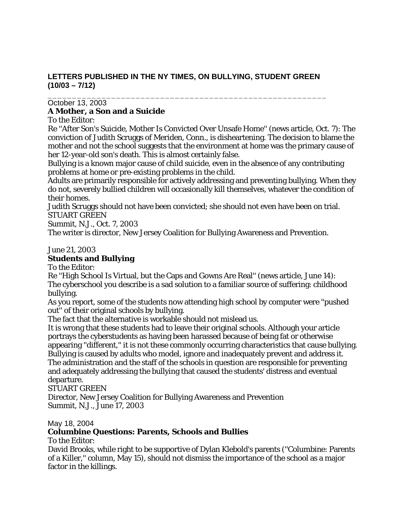# **LETTERS PUBLISHED IN THE NY TIMES, ON BULLYING, STUDENT GREEN (10/03 – 7/12)**

\_\_\_\_\_\_\_\_\_\_\_\_\_\_\_\_\_\_\_\_\_\_\_\_\_\_\_\_\_\_\_\_\_\_\_\_\_\_\_\_\_\_\_\_\_\_\_\_\_\_\_\_\_\_\_\_\_

# October 13, 2003

### **A Mother, a Son and a Suicide**

To the Editor:

Re ''After Son's Suicide, Mother Is Convicted Over Unsafe Home'' (news article, Oct. 7): The conviction of Judith Scruggs of Meriden, Conn., is disheartening. The decision to blame the mother and not the school suggests that the environment at home was the primary cause of her 12-year-old son's death. This is almost certainly false.

Bullying is a known major cause of child suicide, even in the absence of any contributing problems at home or pre-existing problems in the child.

Adults are primarily responsible for actively addressing and preventing bullying. When they do not, severely bullied children will occasionally kill themselves, whatever the condition of their homes.

Judith Scruggs should not have been convicted; she should not even have been on trial. STUART GREEN

Summit, N.J., Oct. 7, 2003

The writer is director, New Jersey Coalition for Bullying Awareness and Prevention.

June 21, 2003

### **Students and Bullying**

To the Editor:

Re ''High School Is Virtual, but the Caps and Gowns Are Real'' (news article, June 14): The cyberschool you describe is a sad solution to a familiar source of suffering: childhood bullying.

As you report, some of the students now attending high school by computer were ''pushed out'' of their original schools by bullying.

The fact that the alternative is workable should not mislead us.

It is wrong that these students had to leave their original schools. Although your article portrays the cyberstudents as having been harassed because of being fat or otherwise appearing ''different,'' it is not these commonly occurring characteristics that cause bullying. Bullying is caused by adults who model, ignore and inadequately prevent and address it. The administration and the staff of the schools in question are responsible for preventing and adequately addressing the bullying that caused the students' distress and eventual departure.

#### STUART GREEN

Director, New Jersey Coalition for Bullying Awareness and Prevention Summit, N.J., June 17, 2003

May 18, 2004

# **Columbine Questions: Parents, Schools and Bullies**

To the Editor:

David Brooks, while right to be supportive of Dylan Klebold's parents (''Columbine: Parents of a Killer,'' column, May 15), should not dismiss the importance of the school as a major factor in the killings.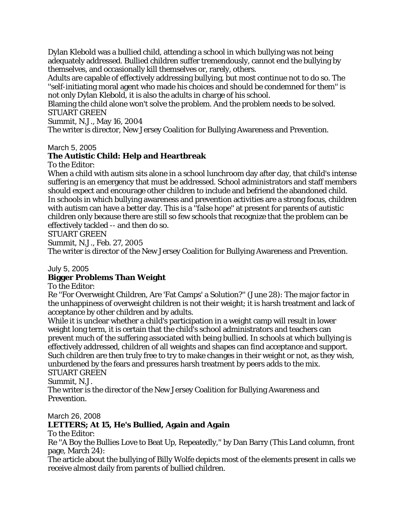Dylan Klebold was a bullied child, attending a school in which bullying was not being adequately addressed. Bullied children suffer tremendously, cannot end the bullying by themselves, and occasionally kill themselves or, rarely, others.

Adults are capable of effectively addressing bullying, but most continue not to do so. The ''self-initiating moral agent who made his choices and should be condemned for them'' is not only Dylan Klebold, it is also the adults in charge of his school.

Blaming the child alone won't solve the problem. And the problem needs to be solved. STUART GREEN

Summit, N.J., May 16, 2004

The writer is director, New Jersey Coalition for Bullying Awareness and Prevention.

#### March 5, 2005

# **The Autistic Child: Help and Heartbreak**

To the Editor:

When a child with autism sits alone in a school lunchroom day after day, that child's intense suffering is an emergency that must be addressed. School administrators and staff members should expect and encourage other children to include and befriend the abandoned child. In schools in which bullying awareness and prevention activities are a strong focus, children with autism can have a better day. This is a "false hope" at present for parents of autistic children only because there are still so few schools that recognize that the problem can be effectively tackled -- and then do so.

STUART GREEN

Summit, N.J., Feb. 27, 2005

The writer is director of the New Jersey Coalition for Bullying Awareness and Prevention.

#### July 5, 2005

#### **Bigger Problems Than Weight**

To the Editor:

Re ''For Overweight Children, Are 'Fat Camps' a Solution?'' (June 28): The major factor in the unhappiness of overweight children is not their weight; it is harsh treatment and lack of acceptance by other children and by adults.

While it is unclear whether a child's participation in a weight camp will result in lower weight long term, it is certain that the child's school administrators and teachers can prevent much of the suffering associated with being bullied. In schools at which bullying is effectively addressed, children of all weights and shapes can find acceptance and support. Such children are then truly free to try to make changes in their weight or not, as they wish, unburdened by the fears and pressures harsh treatment by peers adds to the mix. STUART GREEN

Summit, N.J.

The writer is the director of the New Jersey Coalition for Bullying Awareness and Prevention.

#### March 26, 2008

#### **LETTERS; At 15, He's Bullied, Again and Again**

To the Editor:

Re ''A Boy the Bullies Love to Beat Up, Repeatedly,'' by Dan Barry (This Land column, front page, March 24):

The article about the bullying of Billy Wolfe depicts most of the elements present in calls we receive almost daily from parents of bullied children.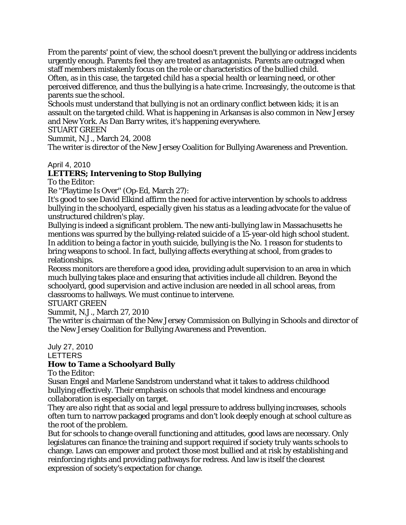From the parents' point of view, the school doesn't prevent the bullying or address incidents urgently enough. Parents feel they are treated as antagonists. Parents are outraged when staff members mistakenly focus on the role or characteristics of the bullied child. Often, as in this case, the targeted child has a special health or learning need, or other

perceived difference, and thus the bullying is a hate crime. Increasingly, the outcome is that parents sue the school.

Schools must understand that bullying is not an ordinary conflict between kids; it is an assault on the targeted child. What is happening in Arkansas is also common in New Jersey and New York. As Dan Barry writes, it's happening everywhere.

STUART GREEN

Summit, N.J., March 24, 2008

The writer is director of the New Jersey Coalition for Bullying Awareness and Prevention.

#### April 4, 2010

# **LETTERS; Intervening to Stop Bullying**

To the Editor:

Re ''Playtime Is Over'' (Op-Ed, March 27):

It's good to see David Elkind affirm the need for active intervention by schools to address bullying in the schoolyard, especially given his status as a leading advocate for the value of unstructured children's play.

Bullying is indeed a significant problem. The new anti-bullying law in Massachusetts he mentions was spurred by the bullying-related suicide of a 15-year-old high school student. In addition to being a factor in youth suicide, bullying is the No. 1 reason for students to bring weapons to school. In fact, bullying affects everything at school, from grades to relationships.

Recess monitors are therefore a good idea, providing adult supervision to an area in which much bullying takes place and ensuring that activities include all children. Beyond the schoolyard, good supervision and active inclusion are needed in all school areas, from classrooms to hallways. We must continue to intervene.

STUART GREEN

Summit, N.J., March 27, 2010

The writer is chairman of the New Jersey Commission on Bullying in Schools and director of the New Jersey Coalition for Bullying Awareness and Prevention.

# July 27, 2010

LETTERS

# **How to Tame a Schoolyard Bully**

To the Editor:

Susan Engel and Marlene Sandstrom understand what it takes to address childhood bullying effectively. Their emphasis on schools that model kindness and encourage collaboration is especially on target.

They are also right that as social and legal pressure to address bullying increases, schools often turn to narrow packaged programs and don't look deeply enough at school culture as the root of the problem.

But for schools to change overall functioning and attitudes, good laws are necessary. Only legislatures can finance the training and support required if society truly wants schools to change. Laws can empower and protect those most bullied and at risk by establishing and reinforcing rights and providing pathways for redress. And law is itself the clearest expression of society's expectation for change.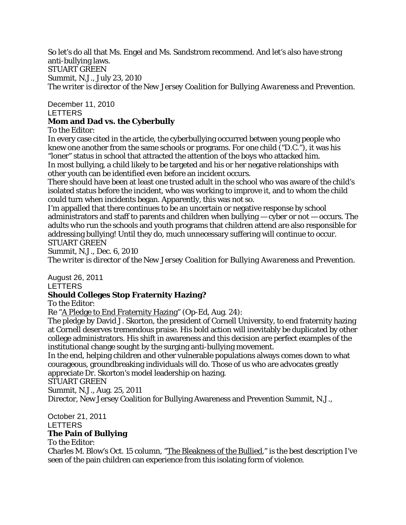So let's do all that Ms. Engel and Ms. Sandstrom recommend. And let's also have strong anti-bullying laws. STUART GREEN Summit, N.J., July 23, 2010 *The writer is director of the New Jersey Coalition for Bullying Awareness and Prevention.* 

December 11, 2010 LETTERS

### **Mom and Dad vs. the Cyberbully**

To the Editor:

In every case cited in the article, the cyberbullying occurred between young people who knew one another from the same schools or programs. For one child ("D.C."), it was his "loner" status in school that attracted the attention of the boys who attacked him. In most bullying, a child likely to be targeted and his or her negative relationships with other youth can be identified even before an incident occurs.

There should have been at least one trusted adult in the school who was aware of the child's isolated status before the incident, who was working to improve it, and to whom the child could turn when incidents began. Apparently, this was not so.

I'm appalled that there continues to be an uncertain or negative response by school administrators and staff to parents and children when bullying  $-$  cyber or not  $-$  occurs. The adults who run the schools and youth programs that children attend are also responsible for addressing bullying! Until they do, much unnecessary suffering will continue to occur. STUART GREEN

Summit, N.J., Dec. 6, 2010 *The writer is director of the New Jersey Coalition for Bullying Awareness and Prevention.* 

August 26, 2011 LETTERS

# **Should Colleges Stop Fraternity Hazing?**

To the Editor:

Re "A Pledge to End Fraternity Hazing" (Op-Ed, Aug. 24):

The pledge by David J. Skorton, the president of Cornell University, to end fraternity hazing at Cornell deserves tremendous praise. His bold action will inevitably be duplicated by other college administrators. His shift in awareness and this decision are perfect examples of the institutional change sought by the surging anti-bullying movement.

In the end, helping children and other vulnerable populations always comes down to what courageous, groundbreaking individuals will do. Those of us who are advocates greatly appreciate Dr. Skorton's model leadership on hazing.

STUART GREEN

Summit, N.J., Aug. 25, 2011

Director, New Jersey Coalition for Bullying Awareness and Prevention Summit, N.J.,

October 21, 2011 LETTERS

# **The Pain of Bullying**

To the Editor:

Charles M. Blow's Oct. 15 column, "The Bleakness of the Bullied," is the best description I've seen of the pain children can experience from this isolating form of violence.